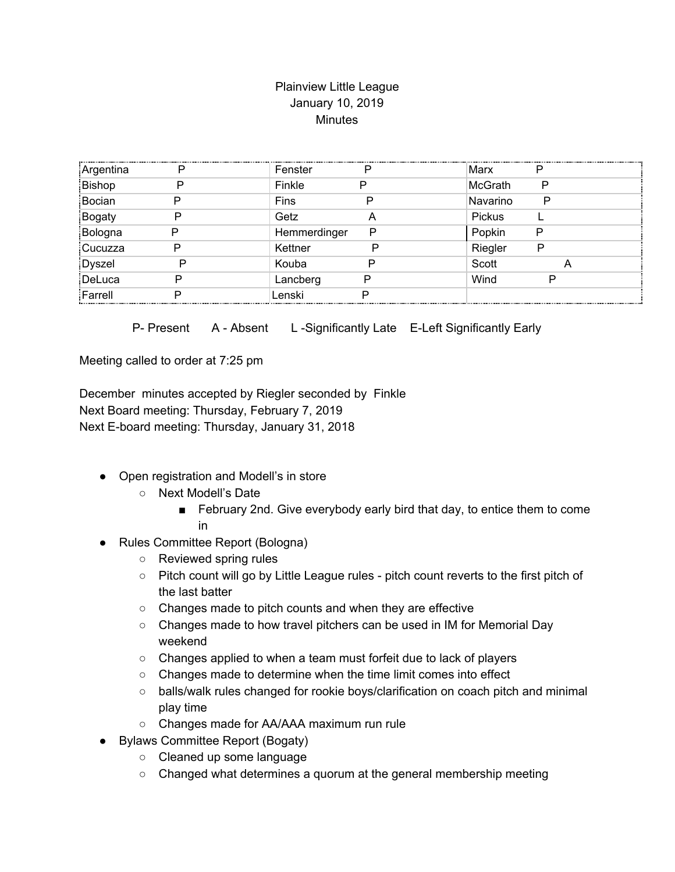## Plainview Little League January 10, 2019 **Minutes**

| Argentina | Fenster      | P | Marx           |   |  |
|-----------|--------------|---|----------------|---|--|
| Bishop    | Finkle       |   | <b>McGrath</b> | P |  |
| Bocian    | Fins         |   | Navarino       | Ρ |  |
| Bogaty    | Getz         |   | Pickus         |   |  |
| Bologna   | Hemmerdinger | Р | Popkin         |   |  |
| Cucuzza   | Kettner      |   | Riegler        | P |  |
| Dyszel    | Kouba        |   | Scott          |   |  |
| DeLuca    | Lancberg     | D | Wind           |   |  |
| Farrell   | Lenski       |   |                |   |  |
|           |              |   |                |   |  |

P- Present A - Absent L-Significantly Late E-Left Significantly Early

Meeting called to order at 7:25 pm

December minutes accepted by Riegler seconded by Finkle Next Board meeting: Thursday, February 7, 2019 Next E-board meeting: Thursday, January 31, 2018

- Open registration and Modell's in store
	- Next Modell's Date
		- February 2nd. Give everybody early bird that day, to entice them to come in
- Rules Committee Report (Bologna)
	- Reviewed spring rules
	- Pitch count will go by Little League rules pitch count reverts to the first pitch of the last batter
	- Changes made to pitch counts and when they are effective
	- Changes made to how travel pitchers can be used in IM for Memorial Day weekend
	- Changes applied to when a team must forfeit due to lack of players
	- Changes made to determine when the time limit comes into effect
	- balls/walk rules changed for rookie boys/clarification on coach pitch and minimal play time
	- Changes made for AA/AAA maximum run rule
- Bylaws Committee Report (Bogaty)
	- Cleaned up some language
	- Changed what determines a quorum at the general membership meeting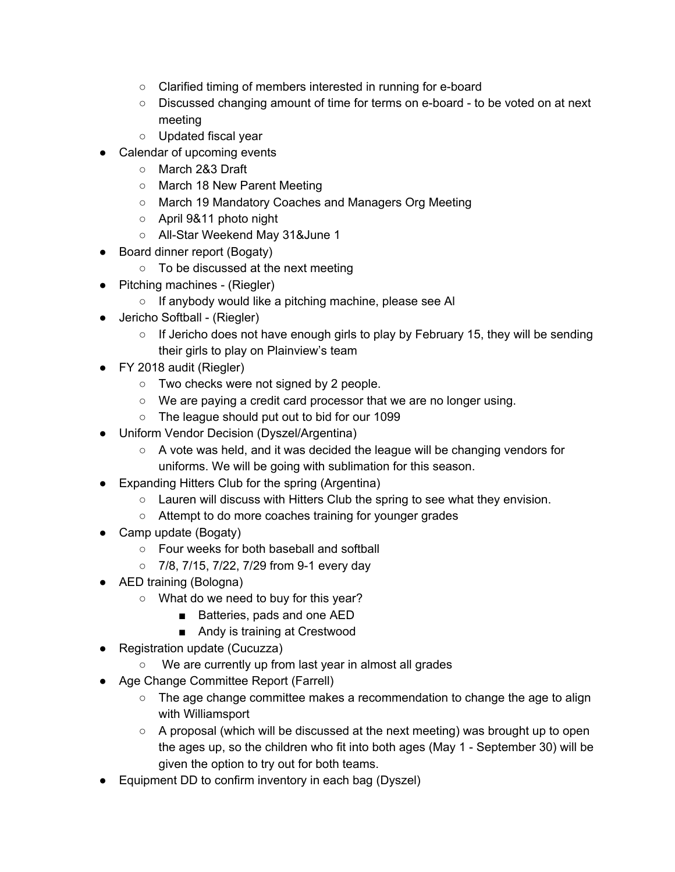- Clarified timing of members interested in running for e-board
- Discussed changing amount of time for terms on e-board to be voted on at next meeting
- Updated fiscal year
- Calendar of upcoming events
	- March 2&3 Draft
	- March 18 New Parent Meeting
	- March 19 Mandatory Coaches and Managers Org Meeting
	- April 9&11 photo night
	- All-Star Weekend May 31&June 1
- Board dinner report (Bogaty)
	- To be discussed at the next meeting
- Pitching machines (Riegler)
	- If anybody would like a pitching machine, please see Al
- Jericho Softball (Riegler)
	- $\circ$  If Jericho does not have enough girls to play by February 15, they will be sending their girls to play on Plainview's team
- FY 2018 audit (Riegler)
	- Two checks were not signed by 2 people.
	- We are paying a credit card processor that we are no longer using.
	- The league should put out to bid for our 1099
- Uniform Vendor Decision (Dyszel/Argentina)
	- $\circ$  A vote was held, and it was decided the league will be changing vendors for uniforms. We will be going with sublimation for this season.
- Expanding Hitters Club for the spring (Argentina)
	- Lauren will discuss with Hitters Club the spring to see what they envision.
	- Attempt to do more coaches training for younger grades
- Camp update (Bogaty)
	- Four weeks for both baseball and softball
	- 7/8, 7/15, 7/22, 7/29 from 9-1 every day
- AED training (Bologna)
	- What do we need to buy for this year?
		- Batteries, pads and one AED
		- Andy is training at Crestwood
- Registration update (Cucuzza)
	- We are currently up from last year in almost all grades
- Age Change Committee Report (Farrell)
	- $\circ$  The age change committee makes a recommendation to change the age to align with Williamsport
	- A proposal (which will be discussed at the next meeting) was brought up to open the ages up, so the children who fit into both ages (May 1 - September 30) will be given the option to try out for both teams.
- Equipment DD to confirm inventory in each bag (Dyszel)